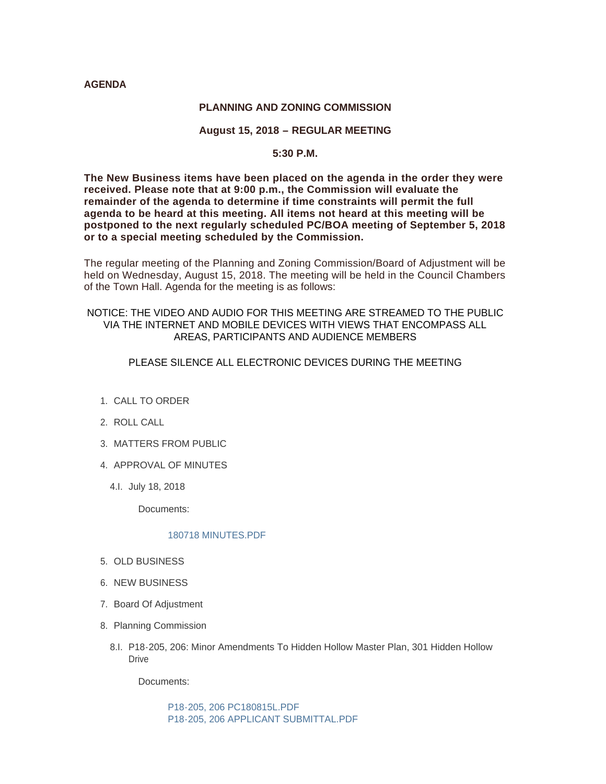#### **AGENDA**

#### **PLANNING AND ZONING COMMISSION**

# **August 15, 2018 – REGULAR MEETING**

## **5:30 P.M.**

**The New Business items have been placed on the agenda in the order they were received. Please note that at 9:00 p.m., the Commission will evaluate the remainder of the agenda to determine if time constraints will permit the full agenda to be heard at this meeting. All items not heard at this meeting will be postponed to the next regularly scheduled PC/BOA meeting of September 5, 2018 or to a special meeting scheduled by the Commission.**

The regular meeting of the Planning and Zoning Commission/Board of Adjustment will be held on Wednesday, August 15, 2018. The meeting will be held in the Council Chambers of the Town Hall. Agenda for the meeting is as follows:

## NOTICE: THE VIDEO AND AUDIO FOR THIS MEETING ARE STREAMED TO THE PUBLIC VIA THE INTERNET AND MOBILE DEVICES WITH VIEWS THAT ENCOMPASS ALL AREAS, PARTICIPANTS AND AUDIENCE MEMBERS

# PLEASE SILENCE ALL ELECTRONIC DEVICES DURING THE MEETING

- 1. CALL TO ORDER
- 2. ROLL CALL
- MATTERS FROM PUBLIC 3.
- 4. APPROVAL OF MINUTES
	- 4.l. July 18, 2018

Documents:

#### [180718 MINUTES.PDF](http://www.jacksonwy.gov/AgendaCenter/ViewFile/Item/1456?fileID=3960)

- 5. OLD BUSINESS
- 6. NEW BUSINESS
- 7. Board Of Adjustment
- 8. Planning Commission
	- 8.I. P18-205, 206: Minor Amendments To Hidden Hollow Master Plan, 301 Hidden Hollow **Drive**

Documents:

[P18-205, 206 PC180815L.PDF](http://www.jacksonwy.gov/AgendaCenter/ViewFile/Item/1455?fileID=3962) [P18-205, 206 APPLICANT SUBMITTAL.PDF](http://www.jacksonwy.gov/AgendaCenter/ViewFile/Item/1455?fileID=3964)